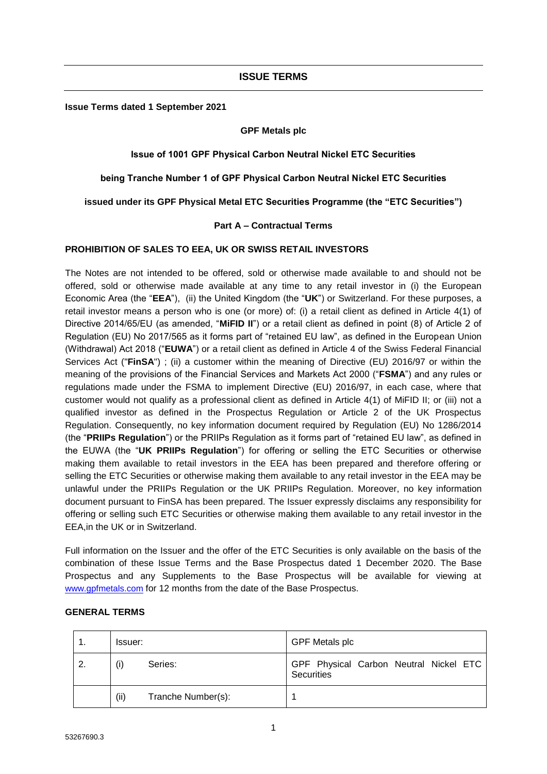## **ISSUE TERMS**

**Issue Terms dated 1 September 2021**

#### **GPF Metals plc**

## **Issue of 1001 GPF Physical Carbon Neutral Nickel ETC Securities**

## **being Tranche Number 1 of GPF Physical Carbon Neutral Nickel ETC Securities**

**issued under its GPF Physical Metal ETC Securities Programme (the "ETC Securities")**

## **Part A – Contractual Terms**

### **PROHIBITION OF SALES TO EEA, UK OR SWISS RETAIL INVESTORS**

The Notes are not intended to be offered, sold or otherwise made available to and should not be offered, sold or otherwise made available at any time to any retail investor in (i) the European Economic Area (the "**EEA**"), (ii) the United Kingdom (the "**UK**") or Switzerland. For these purposes, a retail investor means a person who is one (or more) of: (i) a retail client as defined in Article 4(1) of Directive 2014/65/EU (as amended, "**MiFID II**") or a retail client as defined in point (8) of Article 2 of Regulation (EU) No 2017/565 as it forms part of "retained EU law", as defined in the European Union (Withdrawal) Act 2018 ("**EUWA**") or a retail client as defined in Article 4 of the Swiss Federal Financial Services Act ("**FinSA**") ; (ii) a customer within the meaning of Directive (EU) 2016/97 or within the meaning of the provisions of the Financial Services and Markets Act 2000 ("**FSMA**") and any rules or regulations made under the FSMA to implement Directive (EU) 2016/97, in each case, where that customer would not qualify as a professional client as defined in Article 4(1) of MiFID II; or (iii) not a qualified investor as defined in the Prospectus Regulation or Article 2 of the UK Prospectus Regulation. Consequently, no key information document required by Regulation (EU) No 1286/2014 (the "**PRIIPs Regulation**") or the PRIIPs Regulation as it forms part of "retained EU law", as defined in the EUWA (the "**UK PRIIPs Regulation**") for offering or selling the ETC Securities or otherwise making them available to retail investors in the EEA has been prepared and therefore offering or selling the ETC Securities or otherwise making them available to any retail investor in the EEA may be unlawful under the PRIIPs Regulation or the UK PRIIPs Regulation. Moreover, no key information document pursuant to FinSA has been prepared. The Issuer expressly disclaims any responsibility for offering or selling such ETC Securities or otherwise making them available to any retail investor in the EEA,in the UK or in Switzerland.

Full information on the Issuer and the offer of the ETC Securities is only available on the basis of the combination of these Issue Terms and the Base Prospectus dated 1 December 2020. The Base Prospectus and any Supplements to the Base Prospectus will be available for viewing at [www.gpfmetals.com](https://protect-eu.mimecast.com/s/7KjvCKKVU8NrQjhvhOY2?domain=gpfmetals.com) for 12 months from the date of the Base Prospectus.

|  | Issuer: |                    | <b>GPF Metals plc</b>                                       |  |  |
|--|---------|--------------------|-------------------------------------------------------------|--|--|
|  |         | Series:            | GPF Physical Carbon Neutral Nickel ETC<br><b>Securities</b> |  |  |
|  | (iii)   | Tranche Number(s): |                                                             |  |  |

## **GENERAL TERMS**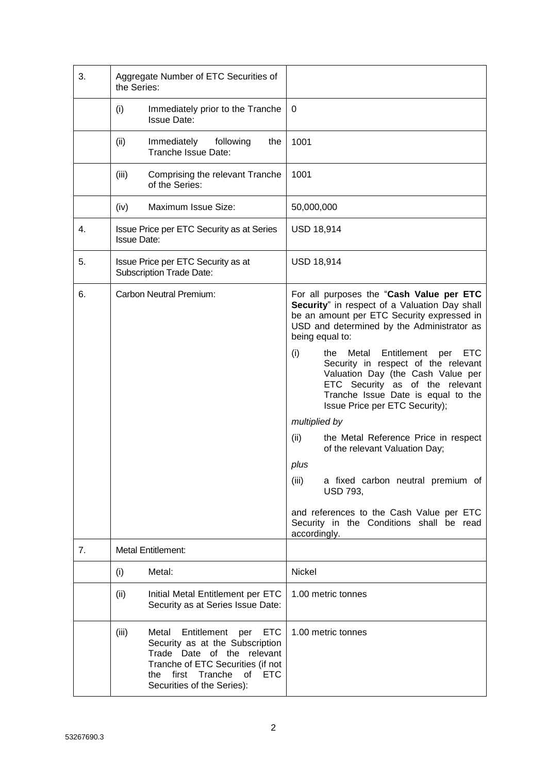| 3. | Aggregate Number of ETC Securities of<br>the Series:                  |                                                                                                                                                                                                                           |                   |                                                                                                                                                                                                                                         |
|----|-----------------------------------------------------------------------|---------------------------------------------------------------------------------------------------------------------------------------------------------------------------------------------------------------------------|-------------------|-----------------------------------------------------------------------------------------------------------------------------------------------------------------------------------------------------------------------------------------|
|    | (i)<br>Immediately prior to the Tranche<br><b>Issue Date:</b>         |                                                                                                                                                                                                                           | 0                 |                                                                                                                                                                                                                                         |
|    | (ii)                                                                  | Immediately<br>following<br>the<br>Tranche Issue Date:                                                                                                                                                                    | 1001              |                                                                                                                                                                                                                                         |
|    | (iii)                                                                 | Comprising the relevant Tranche<br>of the Series:                                                                                                                                                                         | 1001              |                                                                                                                                                                                                                                         |
|    | (iv)                                                                  | Maximum Issue Size:                                                                                                                                                                                                       | 50,000,000        |                                                                                                                                                                                                                                         |
| 4. | <b>Issue Date:</b>                                                    | Issue Price per ETC Security as at Series                                                                                                                                                                                 | <b>USD 18,914</b> |                                                                                                                                                                                                                                         |
| 5. | Issue Price per ETC Security as at<br><b>Subscription Trade Date:</b> |                                                                                                                                                                                                                           | <b>USD 18,914</b> |                                                                                                                                                                                                                                         |
| 6. | Carbon Neutral Premium:                                               |                                                                                                                                                                                                                           |                   | For all purposes the "Cash Value per ETC<br>Security" in respect of a Valuation Day shall<br>be an amount per ETC Security expressed in<br>USD and determined by the Administrator as<br>being equal to:                                |
|    |                                                                       |                                                                                                                                                                                                                           | (i)               | Entitlement<br><b>ETC</b><br>Metal<br>the<br>per<br>Security in respect of the relevant<br>Valuation Day (the Cash Value per<br>ETC Security as of the relevant<br>Tranche Issue Date is equal to the<br>Issue Price per ETC Security); |
|    |                                                                       |                                                                                                                                                                                                                           | multiplied by     |                                                                                                                                                                                                                                         |
|    |                                                                       |                                                                                                                                                                                                                           | (ii)              | the Metal Reference Price in respect<br>of the relevant Valuation Day;                                                                                                                                                                  |
|    |                                                                       |                                                                                                                                                                                                                           | plus              |                                                                                                                                                                                                                                         |
|    |                                                                       |                                                                                                                                                                                                                           | (iii)             | a fixed carbon neutral premium of<br><b>USD 793,</b>                                                                                                                                                                                    |
|    |                                                                       |                                                                                                                                                                                                                           | accordingly.      | and references to the Cash Value per ETC<br>Security in the Conditions shall be read                                                                                                                                                    |
| 7. |                                                                       | <b>Metal Entitlement:</b>                                                                                                                                                                                                 |                   |                                                                                                                                                                                                                                         |
|    | (i)                                                                   | Metal:                                                                                                                                                                                                                    | Nickel            |                                                                                                                                                                                                                                         |
|    | (ii)                                                                  | Initial Metal Entitlement per ETC<br>Security as at Series Issue Date:                                                                                                                                                    |                   | 1.00 metric tonnes                                                                                                                                                                                                                      |
|    | (iii)                                                                 | Metal<br>Entitlement<br><b>ETC</b><br>per<br>Security as at the Subscription<br>Trade Date of the relevant<br>Tranche of ETC Securities (if not<br><b>ETC</b><br>first Tranche<br>of<br>the<br>Securities of the Series): |                   | 1.00 metric tonnes                                                                                                                                                                                                                      |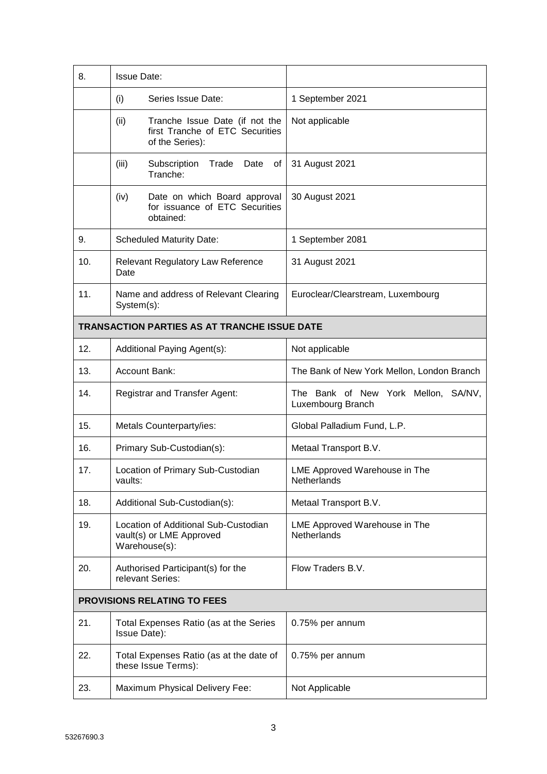| 8.  | <b>Issue Date:</b>                                                                           |                                                          |
|-----|----------------------------------------------------------------------------------------------|----------------------------------------------------------|
|     | Series Issue Date:<br>(i)                                                                    | 1 September 2021                                         |
|     | (ii)<br>Tranche Issue Date (if not the<br>first Tranche of ETC Securities<br>of the Series): | Not applicable                                           |
|     | (iii)<br>Subscription<br>Date<br>Trade<br>οf<br>Tranche:                                     | 31 August 2021                                           |
|     | (iv)<br>Date on which Board approval<br>for issuance of ETC Securities<br>obtained:          | 30 August 2021                                           |
| 9.  | <b>Scheduled Maturity Date:</b>                                                              | 1 September 2081                                         |
| 10. | Relevant Regulatory Law Reference<br>Date                                                    | 31 August 2021                                           |
| 11. | Name and address of Relevant Clearing<br>System(s):                                          | Euroclear/Clearstream, Luxembourg                        |
|     | <b>TRANSACTION PARTIES AS AT TRANCHE ISSUE DATE</b>                                          |                                                          |
| 12. | Additional Paying Agent(s):                                                                  | Not applicable                                           |
| 13. | <b>Account Bank:</b>                                                                         | The Bank of New York Mellon, London Branch               |
| 14. | Registrar and Transfer Agent:                                                                | The Bank of New York Mellon, SA/NV,<br>Luxembourg Branch |
| 15. | Metals Counterparty/ies:                                                                     | Global Palladium Fund, L.P.                              |
| 16. | Primary Sub-Custodian(s):                                                                    | Metaal Transport B.V.                                    |
| 17. | Location of Primary Sub-Custodian<br>vaults:                                                 | LME Approved Warehouse in The<br>Netherlands             |
| 18. | Additional Sub-Custodian(s):                                                                 | Metaal Transport B.V.                                    |
| 19. | Location of Additional Sub-Custodian<br>vault(s) or LME Approved<br>Warehouse(s):            | LME Approved Warehouse in The<br><b>Netherlands</b>      |
| 20. | Authorised Participant(s) for the<br>relevant Series:                                        | Flow Traders B.V.                                        |
|     | <b>PROVISIONS RELATING TO FEES</b>                                                           |                                                          |
| 21. | Total Expenses Ratio (as at the Series<br>Issue Date):                                       | 0.75% per annum                                          |
| 22. | Total Expenses Ratio (as at the date of<br>these Issue Terms):                               | 0.75% per annum                                          |
| 23. | Maximum Physical Delivery Fee:                                                               | Not Applicable                                           |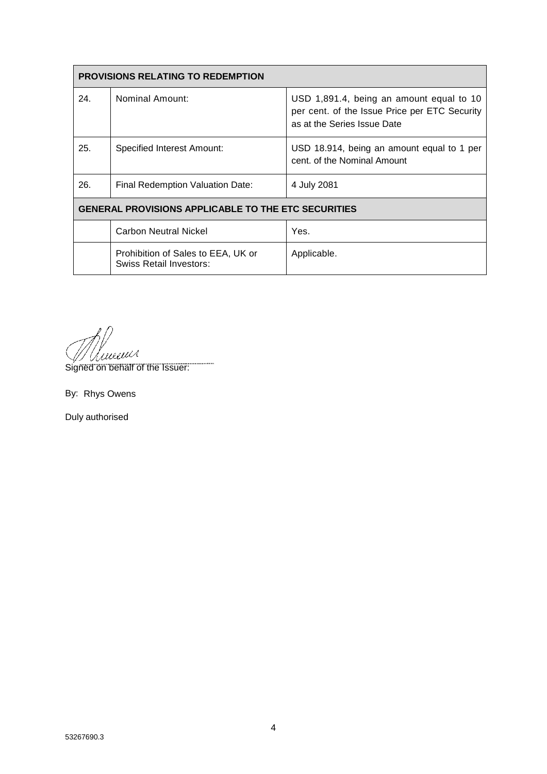| <b>PROVISIONS RELATING TO REDEMPTION</b>                   |                                                                      |                                                                                                                          |  |
|------------------------------------------------------------|----------------------------------------------------------------------|--------------------------------------------------------------------------------------------------------------------------|--|
| 24.                                                        | Nominal Amount:                                                      | USD 1,891.4, being an amount equal to 10<br>per cent. of the Issue Price per ETC Security<br>as at the Series Issue Date |  |
| 25.                                                        | Specified Interest Amount:                                           | USD 18.914, being an amount equal to 1 per<br>cent. of the Nominal Amount                                                |  |
| 26.                                                        | Final Redemption Valuation Date:                                     | 4 July 2081                                                                                                              |  |
| <b>GENERAL PROVISIONS APPLICABLE TO THE ETC SECURITIES</b> |                                                                      |                                                                                                                          |  |
|                                                            | <b>Carbon Neutral Nickel</b>                                         | Yes.                                                                                                                     |  |
|                                                            | Prohibition of Sales to EEA, UK or<br><b>Swiss Retail Investors:</b> | Applicable.                                                                                                              |  |

Immus

Signed on behalf of the Issuer:

....

By: Rhys Owens

Duly authorised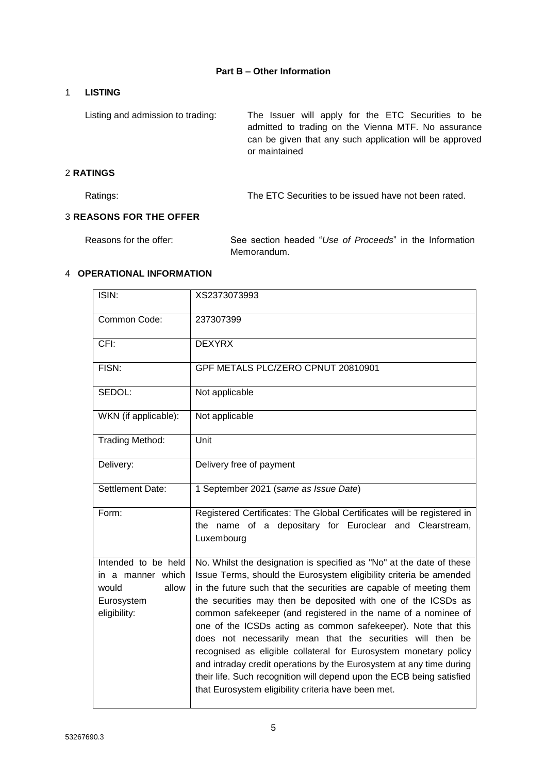## **Part B – Other Information**

# 1 **LISTING**

Listing and admission to trading: The Issuer will apply for the ETC Securities to be admitted to trading on the Vienna MTF. No assurance can be given that any such application will be approved or maintained

# 2 **RATINGS**

Ratings: The ETC Securities to be issued have not been rated.

# 3 **REASONS FOR THE OFFER**

Reasons for the offer: See section headed "*Use of Proceeds*" in the Information Memorandum.

## 4 **OPERATIONAL INFORMATION**

| ISIN:                                                                                    | XS2373073993                                                                                                                                                                                                                                                                                                                                                                                                                                                                                                                                                                                                                                                                                                                                                 |
|------------------------------------------------------------------------------------------|--------------------------------------------------------------------------------------------------------------------------------------------------------------------------------------------------------------------------------------------------------------------------------------------------------------------------------------------------------------------------------------------------------------------------------------------------------------------------------------------------------------------------------------------------------------------------------------------------------------------------------------------------------------------------------------------------------------------------------------------------------------|
| Common Code:                                                                             | 237307399                                                                                                                                                                                                                                                                                                                                                                                                                                                                                                                                                                                                                                                                                                                                                    |
| CFI:                                                                                     | <b>DEXYRX</b>                                                                                                                                                                                                                                                                                                                                                                                                                                                                                                                                                                                                                                                                                                                                                |
| FISN:                                                                                    | GPF METALS PLC/ZERO CPNUT 20810901                                                                                                                                                                                                                                                                                                                                                                                                                                                                                                                                                                                                                                                                                                                           |
| SEDOL:                                                                                   | Not applicable                                                                                                                                                                                                                                                                                                                                                                                                                                                                                                                                                                                                                                                                                                                                               |
| WKN (if applicable):                                                                     | Not applicable                                                                                                                                                                                                                                                                                                                                                                                                                                                                                                                                                                                                                                                                                                                                               |
| Trading Method:                                                                          | Unit                                                                                                                                                                                                                                                                                                                                                                                                                                                                                                                                                                                                                                                                                                                                                         |
| Delivery:                                                                                | Delivery free of payment                                                                                                                                                                                                                                                                                                                                                                                                                                                                                                                                                                                                                                                                                                                                     |
| Settlement Date:                                                                         | 1 September 2021 (same as Issue Date)                                                                                                                                                                                                                                                                                                                                                                                                                                                                                                                                                                                                                                                                                                                        |
| Form:                                                                                    | Registered Certificates: The Global Certificates will be registered in<br>the name of a depositary for Euroclear and Clearstream,<br>Luxembourg                                                                                                                                                                                                                                                                                                                                                                                                                                                                                                                                                                                                              |
| Intended to be held<br>in a manner which<br>allow<br>would<br>Eurosystem<br>eligibility: | No. Whilst the designation is specified as "No" at the date of these<br>Issue Terms, should the Eurosystem eligibility criteria be amended<br>in the future such that the securities are capable of meeting them<br>the securities may then be deposited with one of the ICSDs as<br>common safekeeper (and registered in the name of a nominee of<br>one of the ICSDs acting as common safekeeper). Note that this<br>does not necessarily mean that the securities will then be<br>recognised as eligible collateral for Eurosystem monetary policy<br>and intraday credit operations by the Eurosystem at any time during<br>their life. Such recognition will depend upon the ECB being satisfied<br>that Eurosystem eligibility criteria have been met. |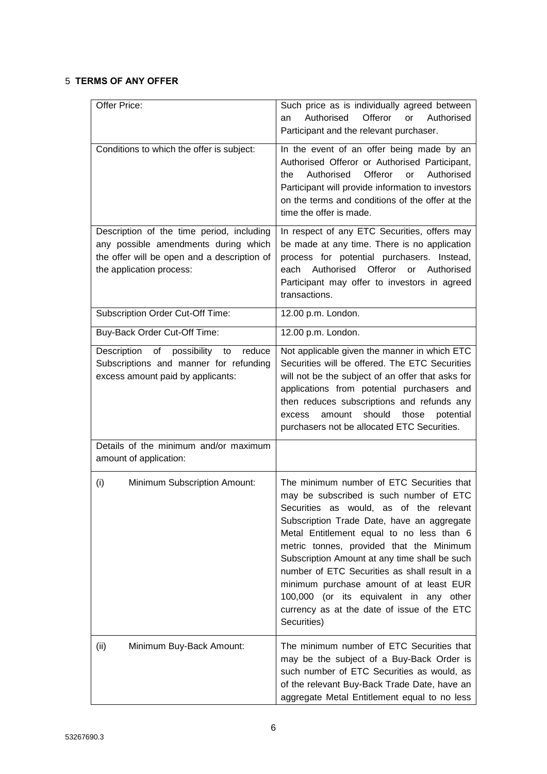# 5 **TERMS OF ANY OFFER**

| Offer Price:                                                                                                                                                 | Such price as is individually agreed between<br>Authorised<br>Offeror<br>or<br>Authorised<br>an<br>Participant and the relevant purchaser.                                                                                                                                                                                                                                                                                                                                                                                   |
|--------------------------------------------------------------------------------------------------------------------------------------------------------------|------------------------------------------------------------------------------------------------------------------------------------------------------------------------------------------------------------------------------------------------------------------------------------------------------------------------------------------------------------------------------------------------------------------------------------------------------------------------------------------------------------------------------|
| Conditions to which the offer is subject:                                                                                                                    | In the event of an offer being made by an<br>Authorised Offeror or Authorised Participant,<br>Offeror<br>Authorised<br>or<br>Authorised<br>the<br>Participant will provide information to investors<br>on the terms and conditions of the offer at the<br>time the offer is made.                                                                                                                                                                                                                                            |
| Description of the time period, including<br>any possible amendments during which<br>the offer will be open and a description of<br>the application process: | In respect of any ETC Securities, offers may<br>be made at any time. There is no application<br>process for potential purchasers. Instead,<br>Authorised Offeror or Authorised<br>each<br>Participant may offer to investors in agreed<br>transactions.                                                                                                                                                                                                                                                                      |
| Subscription Order Cut-Off Time:                                                                                                                             | 12.00 p.m. London.                                                                                                                                                                                                                                                                                                                                                                                                                                                                                                           |
| Buy-Back Order Cut-Off Time:                                                                                                                                 | 12.00 p.m. London.                                                                                                                                                                                                                                                                                                                                                                                                                                                                                                           |
| Description of<br>possibility to<br>reduce<br>Subscriptions and manner for refunding<br>excess amount paid by applicants:                                    | Not applicable given the manner in which ETC<br>Securities will be offered. The ETC Securities<br>will not be the subject of an offer that asks for<br>applications from potential purchasers and<br>then reduces subscriptions and refunds any<br>should<br>amount<br>those<br>potential<br>excess<br>purchasers not be allocated ETC Securities.                                                                                                                                                                           |
| Details of the minimum and/or maximum<br>amount of application:                                                                                              |                                                                                                                                                                                                                                                                                                                                                                                                                                                                                                                              |
| (i)<br><b>Minimum Subscription Amount:</b>                                                                                                                   | The minimum number of ETC Securities that<br>may be subscribed is such number of ETC<br>Securities as would, as of the relevant<br>Subscription Trade Date, have an aggregate<br>Metal Entitlement equal to no less than 6<br>metric tonnes, provided that the Minimum<br>Subscription Amount at any time shall be such<br>number of ETC Securities as shall result in a<br>minimum purchase amount of at least EUR<br>100,000 (or its equivalent in any other<br>currency as at the date of issue of the ETC<br>Securities) |
| Minimum Buy-Back Amount:<br>(ii)                                                                                                                             | The minimum number of ETC Securities that<br>may be the subject of a Buy-Back Order is<br>such number of ETC Securities as would, as<br>of the relevant Buy-Back Trade Date, have an<br>aggregate Metal Entitlement equal to no less                                                                                                                                                                                                                                                                                         |